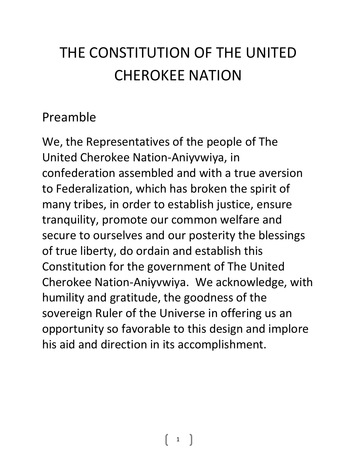# THE CONSTITUTION OF THE UNITED CHEROKEE NATION

#### Preamble

We, the Representatives of the people of The United Cherokee Nation-Aniyvwiya, in confederation assembled and with a true aversion to Federalization, which has broken the spirit of many tribes, in order to establish justice, ensure tranquility, promote our common welfare and secure to ourselves and our posterity the blessings of true liberty, do ordain and establish this Constitution for the government of The United Cherokee Nation-Aniyvwiya. We acknowledge, with humility and gratitude, the goodness of the sovereign Ruler of the Universe in offering us an opportunity so favorable to this design and implore his aid and direction in its accomplishment.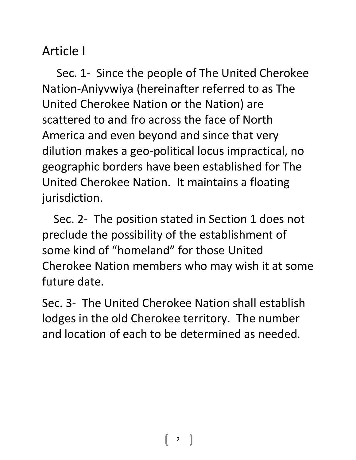## Article I

 Sec. 1- Since the people of The United Cherokee Nation-Aniyvwiya (hereinafter referred to as The United Cherokee Nation or the Nation) are scattered to and fro across the face of North America and even beyond and since that very dilution makes a geo-political locus impractical, no geographic borders have been established for The United Cherokee Nation. It maintains a floating jurisdiction.

 Sec. 2- The position stated in Section 1 does not preclude the possibility of the establishment of some kind of "homeland" for those United Cherokee Nation members who may wish it at some future date.

Sec. 3- The United Cherokee Nation shall establish lodges in the old Cherokee territory. The number and location of each to be determined as needed.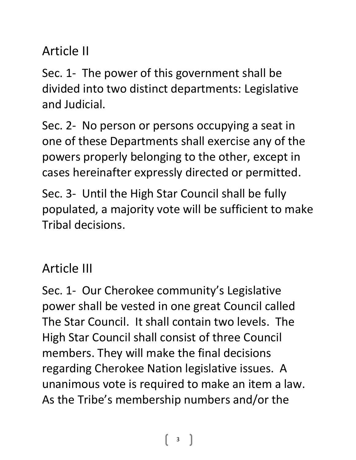# Article II

Sec. 1- The power of this government shall be divided into two distinct departments: Legislative and Judicial.

Sec. 2- No person or persons occupying a seat in one of these Departments shall exercise any of the powers properly belonging to the other, except in cases hereinafter expressly directed or permitted.

Sec. 3- Until the High Star Council shall be fully populated, a majority vote will be sufficient to make Tribal decisions.

### Article III

Sec. 1- Our Cherokee community's Legislative power shall be vested in one great Council called The Star Council. It shall contain two levels. The High Star Council shall consist of three Council members. They will make the final decisions regarding Cherokee Nation legislative issues. A unanimous vote is required to make an item a law. As the Tribe's membership numbers and/or the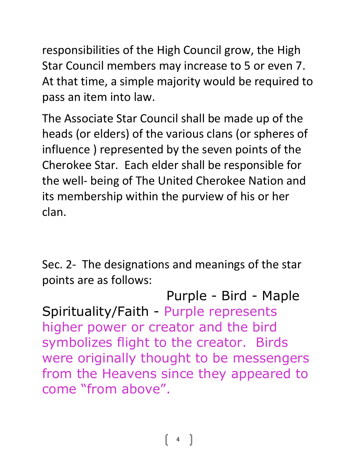responsibilities of the High Council grow, the High Star Council members may increase to 5 or even 7. At that time, a simple majority would be required to pass an item into law.

The Associate Star Council shall be made up of the heads (or elders) of the various clans (or spheres of influence ) represented by the seven points of the Cherokee Star. Each elder shall be responsible for the well- being of The United Cherokee Nation and its membership within the purview of his or her clan.

Sec. 2- The designations and meanings of the star points are as follows:

 Purple - Bird - Maple Spirituality/Faith - Purple represents higher power or creator and the bird symbolizes flight to the creator. Birds were originally thought to be messengers from the Heavens since they appeared to come "from above".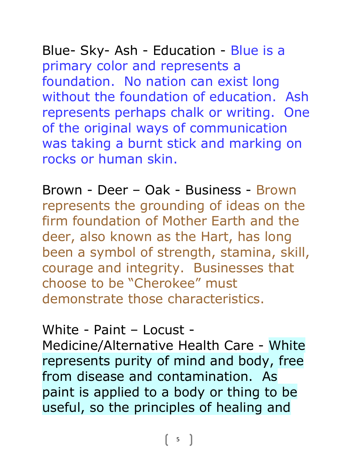Blue- Sky- Ash - Education - Blue is a primary color and represents a foundation. No nation can exist long without the foundation of education. Ash represents perhaps chalk or writing. One

of the original ways of communication was taking a burnt stick and marking on rocks or human skin.

Brown - Deer – Oak - Business - Brown represents the grounding of ideas on the firm foundation of Mother Earth and the deer, also known as the Hart, has long been a symbol of strength, stamina, skill, courage and integrity. Businesses that choose to be "Cherokee" must demonstrate those characteristics.

White - Paint – Locust -

Medicine/Alternative Health Care - White represents purity of mind and body, free from disease and contamination. As paint is applied to a body or thing to be useful, so the principles of healing and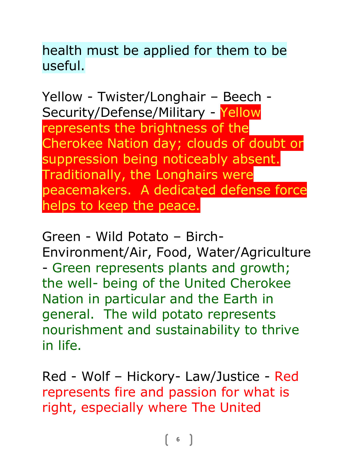health must be applied for them to be useful.

Yellow - Twister/Longhair – Beech - Security/Defense/Military - Yellow represents the brightness of the Cherokee Nation day; clouds of doubt or suppression being noticeably absent. Traditionally, the Longhairs were peacemakers. A dedicated defense force helps to keep the peace.

Green - Wild Potato – Birch-Environment/Air, Food, Water/Agriculture - Green represents plants and growth; the well- being of the United Cherokee Nation in particular and the Earth in general. The wild potato represents nourishment and sustainability to thrive in life.

Red - Wolf – Hickory- Law/Justice - Red represents fire and passion for what is right, especially where The United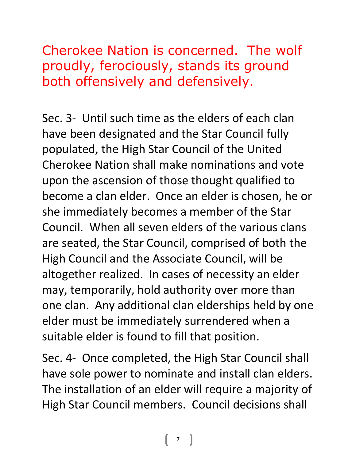Cherokee Nation is concerned. The wolf proudly, ferociously, stands its ground both offensively and defensively.

Sec. 3- Until such time as the elders of each clan have been designated and the Star Council fully populated, the High Star Council of the United Cherokee Nation shall make nominations and vote upon the ascension of those thought qualified to become a clan elder. Once an elder is chosen, he or she immediately becomes a member of the Star Council. When all seven elders of the various clans are seated, the Star Council, comprised of both the High Council and the Associate Council, will be altogether realized. In cases of necessity an elder may, temporarily, hold authority over more than one clan. Any additional clan elderships held by one elder must be immediately surrendered when a suitable elder is found to fill that position.

Sec. 4- Once completed, the High Star Council shall have sole power to nominate and install clan elders. The installation of an elder will require a majority of High Star Council members. Council decisions shall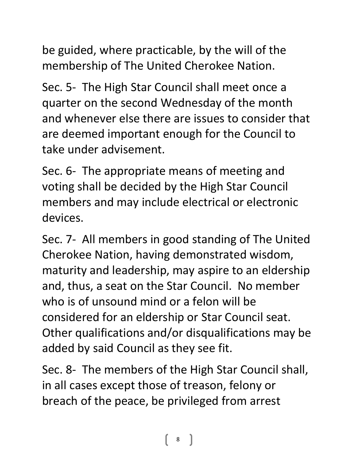be guided, where practicable, by the will of the membership of The United Cherokee Nation.

Sec. 5- The High Star Council shall meet once a quarter on the second Wednesday of the month and whenever else there are issues to consider that are deemed important enough for the Council to take under advisement.

Sec. 6- The appropriate means of meeting and voting shall be decided by the High Star Council members and may include electrical or electronic devices.

Sec. 7- All members in good standing of The United Cherokee Nation, having demonstrated wisdom, maturity and leadership, may aspire to an eldership and, thus, a seat on the Star Council. No member who is of unsound mind or a felon will be considered for an eldership or Star Council seat. Other qualifications and/or disqualifications may be added by said Council as they see fit.

Sec. 8- The members of the High Star Council shall, in all cases except those of treason, felony or breach of the peace, be privileged from arrest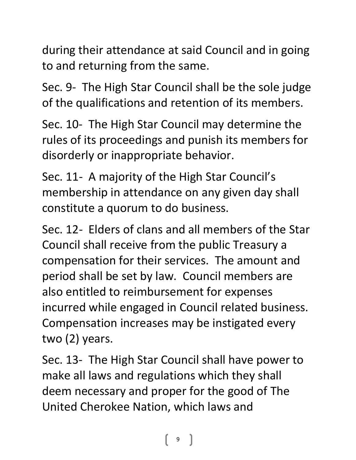during their attendance at said Council and in going to and returning from the same.

Sec. 9- The High Star Council shall be the sole judge of the qualifications and retention of its members.

Sec. 10- The High Star Council may determine the rules of its proceedings and punish its members for disorderly or inappropriate behavior.

Sec. 11- A majority of the High Star Council's membership in attendance on any given day shall constitute a quorum to do business.

Sec. 12- Elders of clans and all members of the Star Council shall receive from the public Treasury a compensation for their services. The amount and period shall be set by law. Council members are also entitled to reimbursement for expenses incurred while engaged in Council related business. Compensation increases may be instigated every two (2) years.

Sec. 13- The High Star Council shall have power to make all laws and regulations which they shall deem necessary and proper for the good of The United Cherokee Nation, which laws and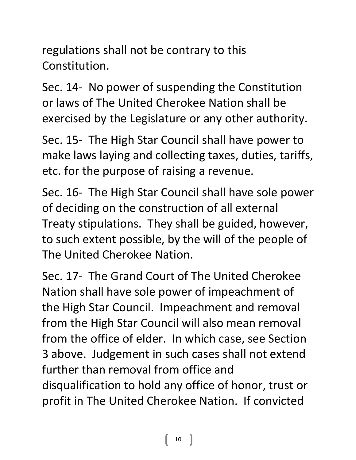regulations shall not be contrary to this Constitution.

Sec. 14- No power of suspending the Constitution or laws of The United Cherokee Nation shall be exercised by the Legislature or any other authority.

Sec. 15- The High Star Council shall have power to make laws laying and collecting taxes, duties, tariffs, etc. for the purpose of raising a revenue.

Sec. 16- The High Star Council shall have sole power of deciding on the construction of all external Treaty stipulations. They shall be guided, however, to such extent possible, by the will of the people of The United Cherokee Nation.

Sec. 17- The Grand Court of The United Cherokee Nation shall have sole power of impeachment of the High Star Council. Impeachment and removal from the High Star Council will also mean removal from the office of elder. In which case, see Section 3 above. Judgement in such cases shall not extend further than removal from office and disqualification to hold any office of honor, trust or profit in The United Cherokee Nation. If convicted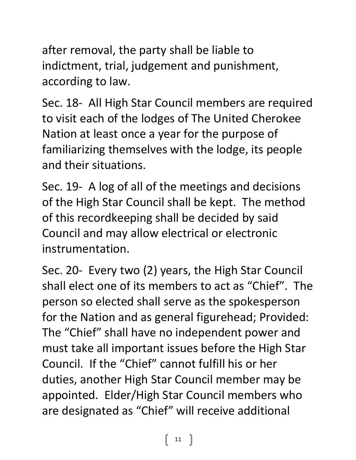after removal, the party shall be liable to indictment, trial, judgement and punishment, according to law.

Sec. 18- All High Star Council members are required to visit each of the lodges of The United Cherokee Nation at least once a year for the purpose of familiarizing themselves with the lodge, its people and their situations.

Sec. 19- A log of all of the meetings and decisions of the High Star Council shall be kept. The method of this recordkeeping shall be decided by said Council and may allow electrical or electronic instrumentation.

Sec. 20- Every two (2) years, the High Star Council shall elect one of its members to act as "Chief". The person so elected shall serve as the spokesperson for the Nation and as general figurehead; Provided: The "Chief" shall have no independent power and must take all important issues before the High Star Council. If the "Chief" cannot fulfill his or her duties, another High Star Council member may be appointed. Elder/High Star Council members who are designated as "Chief" will receive additional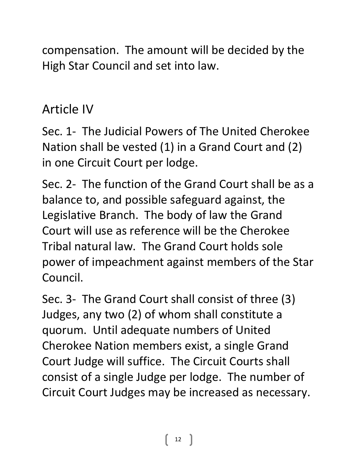compensation. The amount will be decided by the High Star Council and set into law.

### Article IV

Sec. 1- The Judicial Powers of The United Cherokee Nation shall be vested (1) in a Grand Court and (2) in one Circuit Court per lodge.

Sec. 2- The function of the Grand Court shall be as a balance to, and possible safeguard against, the Legislative Branch. The body of law the Grand Court will use as reference will be the Cherokee Tribal natural law. The Grand Court holds sole power of impeachment against members of the Star Council.

Sec. 3- The Grand Court shall consist of three (3) Judges, any two (2) of whom shall constitute a quorum. Until adequate numbers of United Cherokee Nation members exist, a single Grand Court Judge will suffice. The Circuit Courts shall consist of a single Judge per lodge. The number of Circuit Court Judges may be increased as necessary.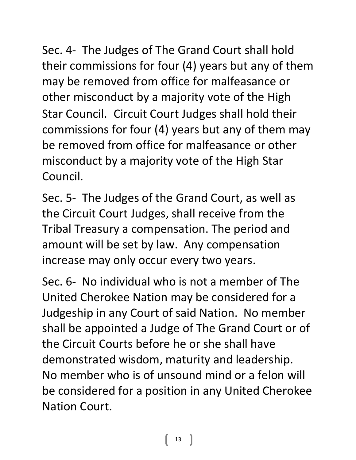Sec. 4- The Judges of The Grand Court shall hold their commissions for four (4) years but any of them may be removed from office for malfeasance or other misconduct by a majority vote of the High Star Council. Circuit Court Judges shall hold their commissions for four (4) years but any of them may be removed from office for malfeasance or other misconduct by a majority vote of the High Star Council.

Sec. 5- The Judges of the Grand Court, as well as the Circuit Court Judges, shall receive from the Tribal Treasury a compensation. The period and amount will be set by law. Any compensation increase may only occur every two years.

Sec. 6- No individual who is not a member of The United Cherokee Nation may be considered for a Judgeship in any Court of said Nation. No member shall be appointed a Judge of The Grand Court or of the Circuit Courts before he or she shall have demonstrated wisdom, maturity and leadership. No member who is of unsound mind or a felon will be considered for a position in any United Cherokee Nation Court.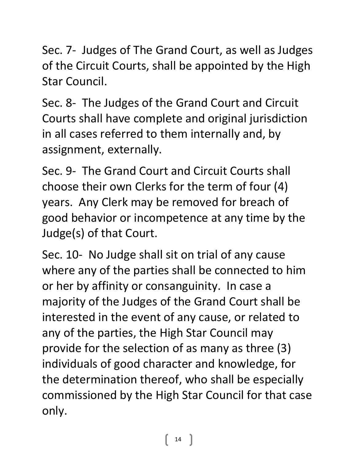Sec. 7- Judges of The Grand Court, as well as Judges of the Circuit Courts, shall be appointed by the High Star Council.

Sec. 8- The Judges of the Grand Court and Circuit Courts shall have complete and original jurisdiction in all cases referred to them internally and, by assignment, externally.

Sec. 9- The Grand Court and Circuit Courts shall choose their own Clerks for the term of four (4) years. Any Clerk may be removed for breach of good behavior or incompetence at any time by the Judge(s) of that Court.

Sec. 10- No Judge shall sit on trial of any cause where any of the parties shall be connected to him or her by affinity or consanguinity. In case a majority of the Judges of the Grand Court shall be interested in the event of any cause, or related to any of the parties, the High Star Council may provide for the selection of as many as three (3) individuals of good character and knowledge, for the determination thereof, who shall be especially commissioned by the High Star Council for that case only.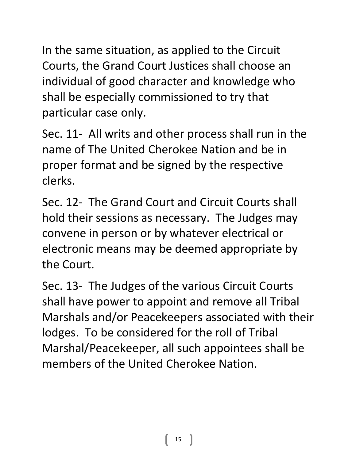In the same situation, as applied to the Circuit Courts, the Grand Court Justices shall choose an individual of good character and knowledge who shall be especially commissioned to try that particular case only.

Sec. 11- All writs and other process shall run in the name of The United Cherokee Nation and be in proper format and be signed by the respective clerks.

Sec. 12- The Grand Court and Circuit Courts shall hold their sessions as necessary. The Judges may convene in person or by whatever electrical or electronic means may be deemed appropriate by the Court.

Sec. 13- The Judges of the various Circuit Courts shall have power to appoint and remove all Tribal Marshals and/or Peacekeepers associated with their lodges. To be considered for the roll of Tribal Marshal/Peacekeeper, all such appointees shall be members of the United Cherokee Nation.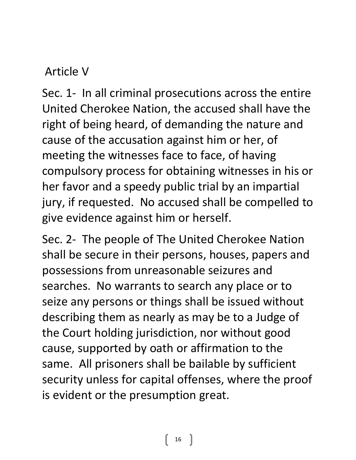#### Article V

Sec. 1- In all criminal prosecutions across the entire United Cherokee Nation, the accused shall have the right of being heard, of demanding the nature and cause of the accusation against him or her, of meeting the witnesses face to face, of having compulsory process for obtaining witnesses in his or her favor and a speedy public trial by an impartial jury, if requested. No accused shall be compelled to give evidence against him or herself.

Sec. 2- The people of The United Cherokee Nation shall be secure in their persons, houses, papers and possessions from unreasonable seizures and searches. No warrants to search any place or to seize any persons or things shall be issued without describing them as nearly as may be to a Judge of the Court holding jurisdiction, nor without good cause, supported by oath or affirmation to the same. All prisoners shall be bailable by sufficient security unless for capital offenses, where the proof is evident or the presumption great.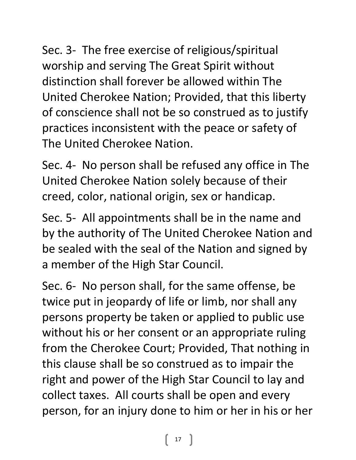Sec. 3- The free exercise of religious/spiritual worship and serving The Great Spirit without distinction shall forever be allowed within The United Cherokee Nation; Provided, that this liberty of conscience shall not be so construed as to justify practices inconsistent with the peace or safety of The United Cherokee Nation.

Sec. 4- No person shall be refused any office in The United Cherokee Nation solely because of their creed, color, national origin, sex or handicap.

Sec. 5- All appointments shall be in the name and by the authority of The United Cherokee Nation and be sealed with the seal of the Nation and signed by a member of the High Star Council.

Sec. 6- No person shall, for the same offense, be twice put in jeopardy of life or limb, nor shall any persons property be taken or applied to public use without his or her consent or an appropriate ruling from the Cherokee Court; Provided, That nothing in this clause shall be so construed as to impair the right and power of the High Star Council to lay and collect taxes. All courts shall be open and every person, for an injury done to him or her in his or her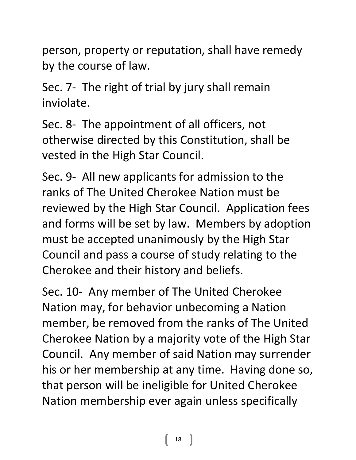person, property or reputation, shall have remedy by the course of law.

Sec. 7- The right of trial by jury shall remain inviolate.

Sec. 8- The appointment of all officers, not otherwise directed by this Constitution, shall be vested in the High Star Council.

Sec. 9- All new applicants for admission to the ranks of The United Cherokee Nation must be reviewed by the High Star Council. Application fees and forms will be set by law. Members by adoption must be accepted unanimously by the High Star Council and pass a course of study relating to the Cherokee and their history and beliefs.

Sec. 10- Any member of The United Cherokee Nation may, for behavior unbecoming a Nation member, be removed from the ranks of The United Cherokee Nation by a majority vote of the High Star Council. Any member of said Nation may surrender his or her membership at any time. Having done so, that person will be ineligible for United Cherokee Nation membership ever again unless specifically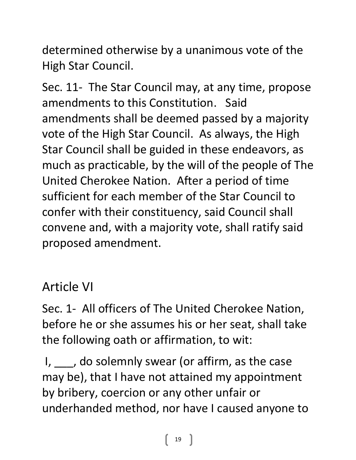determined otherwise by a unanimous vote of the High Star Council.

Sec. 11- The Star Council may, at any time, propose amendments to this Constitution. Said amendments shall be deemed passed by a majority vote of the High Star Council. As always, the High Star Council shall be guided in these endeavors, as much as practicable, by the will of the people of The United Cherokee Nation. After a period of time sufficient for each member of the Star Council to confer with their constituency, said Council shall convene and, with a majority vote, shall ratify said proposed amendment.

#### Article VI

Sec. 1- All officers of The United Cherokee Nation, before he or she assumes his or her seat, shall take the following oath or affirmation, to wit:

I, \_\_\_, do solemnly swear (or affirm, as the case may be), that I have not attained my appointment by bribery, coercion or any other unfair or underhanded method, nor have I caused anyone to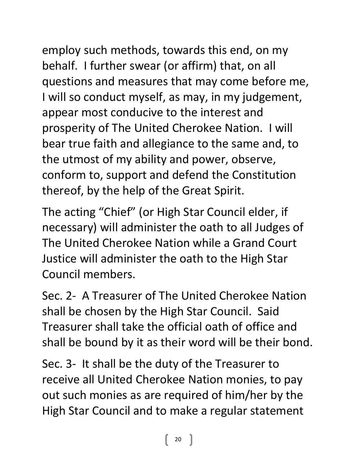employ such methods, towards this end, on my behalf. I further swear (or affirm) that, on all questions and measures that may come before me, I will so conduct myself, as may, in my judgement, appear most conducive to the interest and prosperity of The United Cherokee Nation. I will bear true faith and allegiance to the same and, to the utmost of my ability and power, observe, conform to, support and defend the Constitution thereof, by the help of the Great Spirit.

The acting "Chief" (or High Star Council elder, if necessary) will administer the oath to all Judges of The United Cherokee Nation while a Grand Court Justice will administer the oath to the High Star Council members.

Sec. 2- A Treasurer of The United Cherokee Nation shall be chosen by the High Star Council. Said Treasurer shall take the official oath of office and shall be bound by it as their word will be their bond.

Sec. 3- It shall be the duty of the Treasurer to receive all United Cherokee Nation monies, to pay out such monies as are required of him/her by the High Star Council and to make a regular statement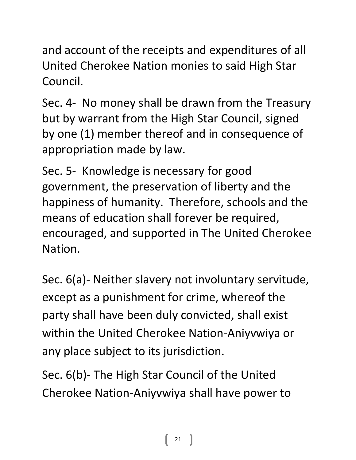and account of the receipts and expenditures of all United Cherokee Nation monies to said High Star Council.

Sec. 4- No money shall be drawn from the Treasury but by warrant from the High Star Council, signed by one (1) member thereof and in consequence of appropriation made by law.

Sec. 5- Knowledge is necessary for good government, the preservation of liberty and the happiness of humanity. Therefore, schools and the means of education shall forever be required, encouraged, and supported in The United Cherokee Nation.

Sec. 6(a)- Neither slavery not involuntary servitude, except as a punishment for crime, whereof the party shall have been duly convicted, shall exist within the United Cherokee Nation-Aniyvwiya or any place subject to its jurisdiction.

Sec. 6(b)- The High Star Council of the United Cherokee Nation-Aniyvwiya shall have power to